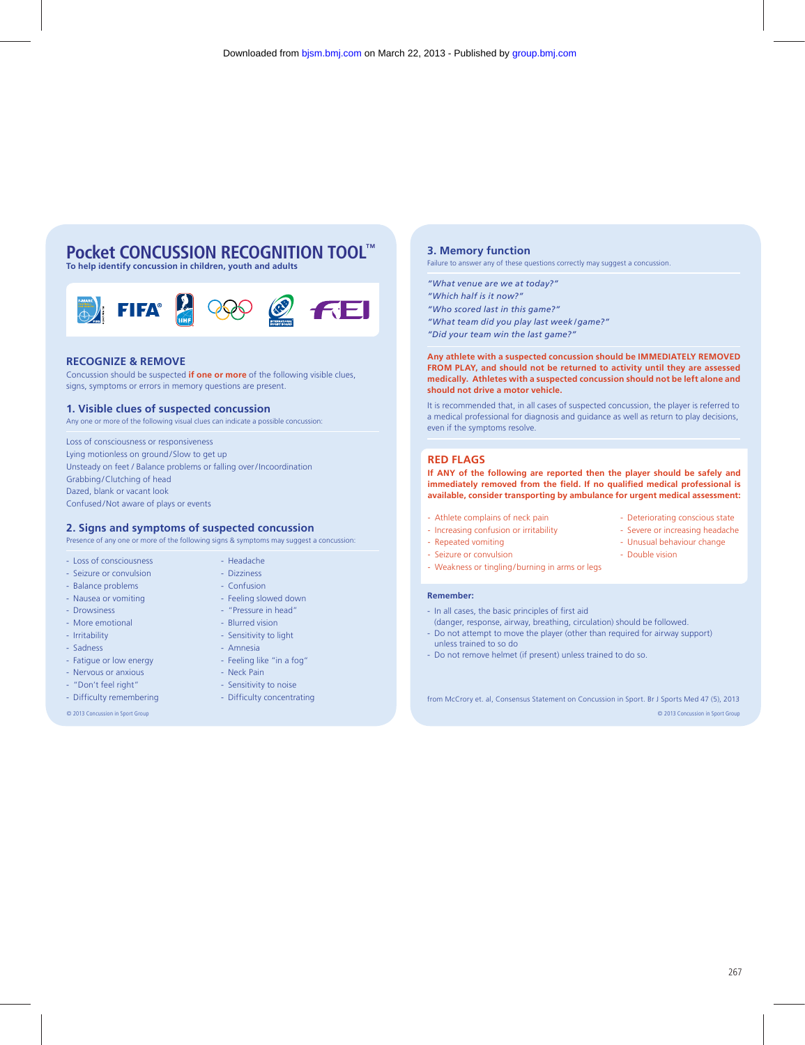# **Pocket CONCUSSION RECOGNITION TOOL™**

**To help identify concussion in children, youth and adults**



#### **RECOGNIZE & REMOVE**

Concussion should be suspected **if one or more** of the following visible clues, signs, symptoms or errors in memory questions are present.

## **1. Visible clues of suspected concussion**

Any one or more of the following visual clues can indicate a possible concussion:

Loss of consciousness or responsiveness Lying motionless on ground/Slow to get up Unsteady on feet / Balance problems or falling over / Incoordination Grabbing/Clutching of head Dazed, blank or vacant look Confused/Not aware of plays or events

### **2. Signs and symptoms of suspected concussion**

Presence of any one or more of the following signs & symptoms may suggest a concussion:

- Loss of consciousness - Headache

- Seizure or convulsion Dizziness
- Balance problems Confusion
- Nausea or vomiting Feeling slowed down
- Drowsiness "Pressure in head"
- More emotional Blurred vision
- Irritability Sensitivity to light
- Sadness Amnesia
- Fatigue or low energy Feeling like "in a fog"
- Nervous or anxious Neck Pain
- "Don't feel right" Sensitivity to noise
- Difficulty remembering Difficulty concentrating
- 

### **3. Memory function**

Failure to answer any of these questions correctly may suggest a concussion.

- *"What venue are we at today?"*
- *"Which half is it now?"*
- *"Who scored last in this game?"*
- *"What team did you play last week / game?"*
- *"Did your team win the last game?"*

**Any athlete with a suspected concussion should be IMMEDIATELY REMOVED FROM PLAY, and should not be returned to activity until they are assessed medically. Athletes with a suspected concussion should not be left alone and should not drive a motor vehicle.**

It is recommended that, in all cases of suspected concussion, the player is referred to a medical professional for diagnosis and guidance as well as return to play decisions, even if the symptoms resolve.

#### **RED FLAGS**

**If ANY of the following are reported then the player should be safely and immediately removed from the field. If no qualified medical professional is available, consider transporting by ambulance for urgent medical assessment:**

- Athlete complains of neck pain Deteriorating conscious state
- Increasing confusion or irritability Severe or increasing headache
- Repeated vomiting Unusual behaviour change
- Seizure or convulsion Double vision
- Weakness or tingling/burning in arms or legs

#### **Remember:**

- In all cases, the basic principles of first aid
- (danger, response, airway, breathing, circulation) should be followed. - Do not attempt to move the player (other than required for airway support)
- unless trained to so do
- Do not remove helmet (if present) unless trained to do so.

© 2013 Concussion in Sport Group © 2013 Concussion in Sport Group from McCrory et. al, Consensus Statement on Concussion in Sport. Br J Sports Med 47 (5), 2013